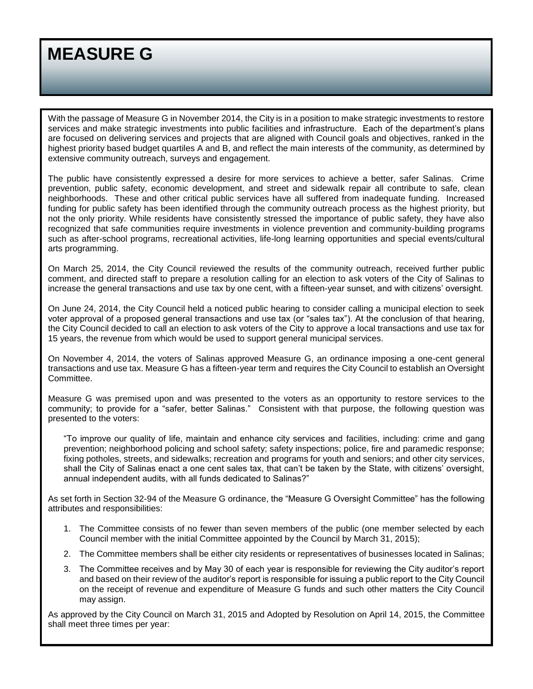With the passage of Measure G in November 2014, the City is in a position to make strategic investments to restore services and make strategic investments into public facilities and infrastructure. Each of the department's plans are focused on delivering services and projects that are aligned with Council goals and objectives, ranked in the highest priority based budget quartiles A and B, and reflect the main interests of the community, as determined by extensive community outreach, surveys and engagement.

The public have consistently expressed a desire for more services to achieve a better, safer Salinas. Crime prevention, public safety, economic development, and street and sidewalk repair all contribute to safe, clean neighborhoods. These and other critical public services have all suffered from inadequate funding. Increased funding for public safety has been identified through the community outreach process as the highest priority, but not the only priority. While residents have consistently stressed the importance of public safety, they have also recognized that safe communities require investments in violence prevention and community-building programs such as after-school programs, recreational activities, life-long learning opportunities and special events/cultural arts programming.

On March 25, 2014, the City Council reviewed the results of the community outreach, received further public comment, and directed staff to prepare a resolution calling for an election to ask voters of the City of Salinas to increase the general transactions and use tax by one cent, with a fifteen-year sunset, and with citizens' oversight.

On June 24, 2014, the City Council held a noticed public hearing to consider calling a municipal election to seek voter approval of a proposed general transactions and use tax (or "sales tax"). At the conclusion of that hearing, the City Council decided to call an election to ask voters of the City to approve a local transactions and use tax for 15 years, the revenue from which would be used to support general municipal services.

On November 4, 2014, the voters of Salinas approved Measure G, an ordinance imposing a one-cent general transactions and use tax. Measure G has a fifteen-year term and requires the City Council to establish an Oversight Committee.

Measure G was premised upon and was presented to the voters as an opportunity to restore services to the community; to provide for a "safer, better Salinas." Consistent with that purpose, the following question was presented to the voters:

"To improve our quality of life, maintain and enhance city services and facilities, including: crime and gang prevention; neighborhood policing and school safety; safety inspections; police, fire and paramedic response; fixing potholes, streets, and sidewalks; recreation and programs for youth and seniors; and other city services, shall the City of Salinas enact a one cent sales tax, that can't be taken by the State, with citizens' oversight, annual independent audits, with all funds dedicated to Salinas?"

As set forth in Section 32-94 of the Measure G ordinance, the "Measure G Oversight Committee" has the following attributes and responsibilities:

- 1. The Committee consists of no fewer than seven members of the public (one member selected by each Council member with the initial Committee appointed by the Council by March 31, 2015);
- 2. The Committee members shall be either city residents or representatives of businesses located in Salinas;
- 3. The Committee receives and by May 30 of each year is responsible for reviewing the City auditor's report and based on their review of the auditor's report is responsible for issuing a public report to the City Council on the receipt of revenue and expenditure of Measure G funds and such other matters the City Council may assign.

As approved by the City Council on March 31, 2015 and Adopted by Resolution on April 14, 2015, the Committee shall meet three times per year: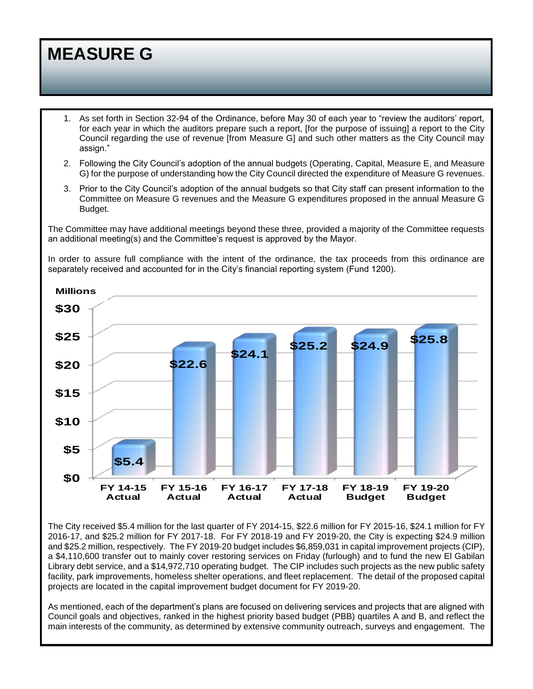- 1. As set forth in Section 32-94 of the Ordinance, before May 30 of each year to "review the auditors' report, for each year in which the auditors prepare such a report, [for the purpose of issuing] a report to the City Council regarding the use of revenue [from Measure G] and such other matters as the City Council may assign."
- 2. Following the City Council's adoption of the annual budgets (Operating, Capital, Measure E, and Measure G) for the purpose of understanding how the City Council directed the expenditure of Measure G revenues.
- 3. Prior to the City Council's adoption of the annual budgets so that City staff can present information to the Committee on Measure G revenues and the Measure G expenditures proposed in the annual Measure G Budget.

The Committee may have additional meetings beyond these three, provided a majority of the Committee requests an additional meeting(s) and the Committee's request is approved by the Mayor.

In order to assure full compliance with the intent of the ordinance, the tax proceeds from this ordinance are separately received and accounted for in the City's financial reporting system (Fund 1200).



The City received \$5.4 million for the last quarter of FY 2014-15, \$22.6 million for FY 2015-16, \$24.1 million for FY 2016-17, and \$25.2 million for FY 2017-18. For FY 2018-19 and FY 2019-20, the City is expecting \$24.9 million and \$25.2 million, respectively. The FY 2019-20 budget includes \$6,859,031 in capital improvement projects (CIP), a \$4,110,600 transfer out to mainly cover restoring services on Friday (furlough) and to fund the new El Gabilan Library debt service, and a \$14,972,710 operating budget. The CIP includes such projects as the new public safety facility, park improvements, homeless shelter operations, and fleet replacement. The detail of the proposed capital projects are located in the capital improvement budget document for FY 2019-20.

As mentioned, each of the department's plans are focused on delivering services and projects that are aligned with Council goals and objectives, ranked in the highest priority based budget (PBB) quartiles A and B, and reflect the main interests of the community, as determined by extensive community outreach, surveys and engagement. The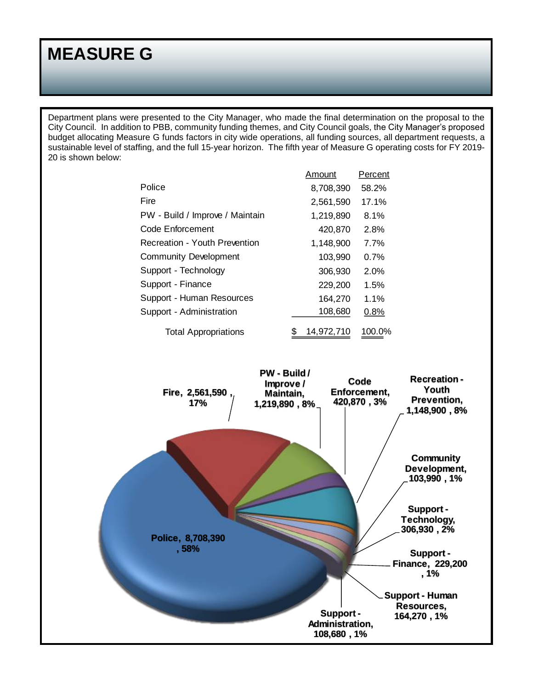Department plans were presented to the City Manager, who made the final determination on the proposal to the City Council. In addition to PBB, community funding themes, and City Council goals, the City Manager's proposed budget allocating Measure G funds factors in city wide operations, all funding sources, all department requests, a sustainable level of staffing, and the full 15-year horizon. The fifth year of Measure G operating costs for FY 2019- 20 is shown below:

|                                      | Amount     | Percent |
|--------------------------------------|------------|---------|
| Police                               | 8,708,390  | 58.2%   |
| Fire                                 | 2,561,590  | 17.1%   |
| PW - Build / Improve / Maintain      | 1,219,890  | 8.1%    |
| Code Enforcement                     | 420,870    | 2.8%    |
| <b>Recreation - Youth Prevention</b> | 1,148,900  | 7.7%    |
| <b>Community Development</b>         | 103,990    | 0.7%    |
| Support - Technology                 | 306,930    | 2.0%    |
| Support - Finance                    | 229,200    | 1.5%    |
| Support - Human Resources            | 164,270    | 1.1%    |
| Support - Administration             | 108,680    | 0.8%    |
| <b>Total Appropriations</b>          | 14,972,710 | 100.0%  |